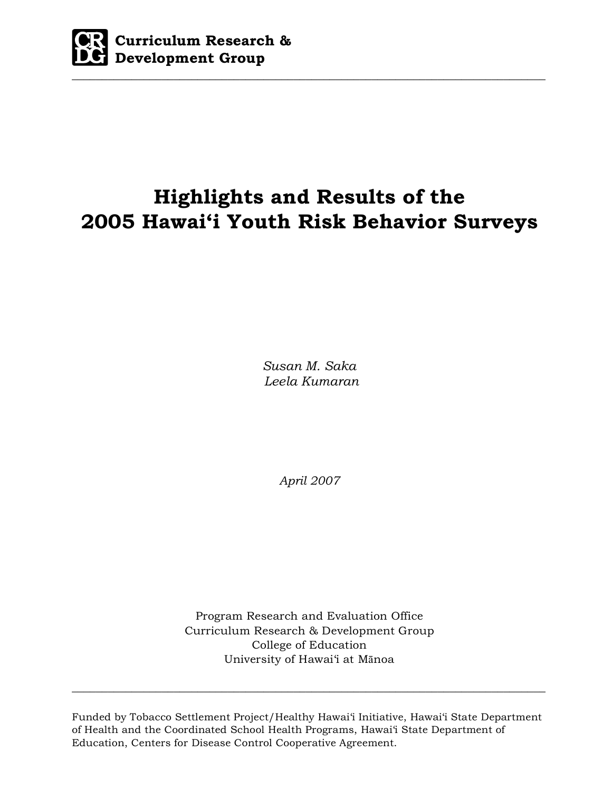

# **Highlights and Results of the 2005 Hawai'i Youth Risk Behavior Surveys**

*Susan M. Saka Leela Kumaran*

*April 2007* 

Program Research and Evaluation Office Curriculum Research & Development Group College of Education University of Hawai'i at Mānoa

Funded by Tobacco Settlement Project/Healthy Hawai'i Initiative, Hawai'i State Department of Health and the Coordinated School Health Programs, Hawai'i State Department of Education, Centers for Disease Control Cooperative Agreement.

 $\_$  , and the set of the set of the set of the set of the set of the set of the set of the set of the set of the set of the set of the set of the set of the set of the set of the set of the set of the set of the set of th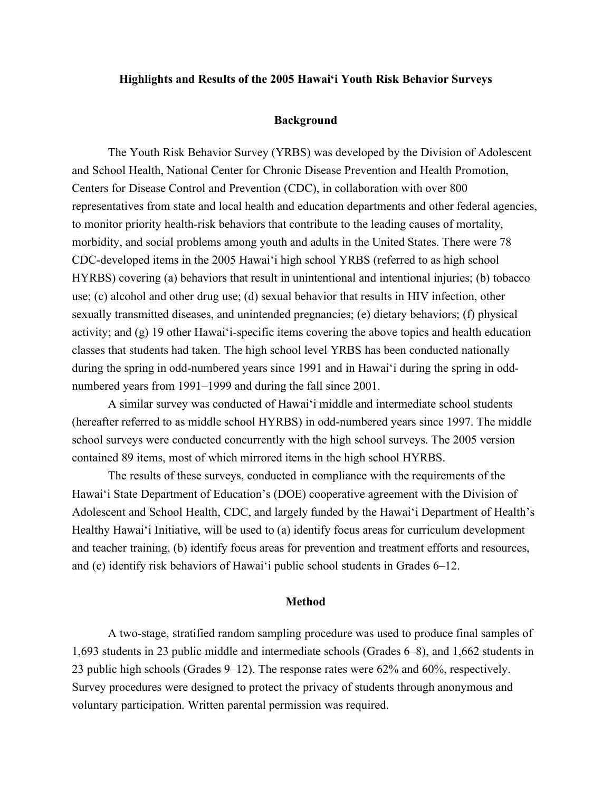## **Highlights and Results of the 2005 Hawai'i Youth Risk Behavior Surveys**

#### **Background**

The Youth Risk Behavior Survey (YRBS) was developed by the Division of Adolescent and School Health, National Center for Chronic Disease Prevention and Health Promotion, Centers for Disease Control and Prevention (CDC), in collaboration with over 800 representatives from state and local health and education departments and other federal agencies, to monitor priority health-risk behaviors that contribute to the leading causes of mortality, morbidity, and social problems among youth and adults in the United States. There were 78 CDC-developed items in the 2005 Hawai'i high school YRBS (referred to as high school HYRBS) covering (a) behaviors that result in unintentional and intentional injuries; (b) tobacco use; (c) alcohol and other drug use; (d) sexual behavior that results in HIV infection, other sexually transmitted diseases, and unintended pregnancies; (e) dietary behaviors; (f) physical activity; and (g) 19 other Hawai'i-specific items covering the above topics and health education classes that students had taken. The high school level YRBS has been conducted nationally during the spring in odd-numbered years since 1991 and in Hawai'i during the spring in oddnumbered years from 1991–1999 and during the fall since 2001.

A similar survey was conducted of Hawai'i middle and intermediate school students (hereafter referred to as middle school HYRBS) in odd-numbered years since 1997. The middle school surveys were conducted concurrently with the high school surveys. The 2005 version contained 89 items, most of which mirrored items in the high school HYRBS.

The results of these surveys, conducted in compliance with the requirements of the Hawai'i State Department of Education's (DOE) cooperative agreement with the Division of Adolescent and School Health, CDC, and largely funded by the Hawai'i Department of Health's Healthy Hawai'i Initiative, will be used to (a) identify focus areas for curriculum development and teacher training, (b) identify focus areas for prevention and treatment efforts and resources, and (c) identify risk behaviors of Hawai'i public school students in Grades 6–12.

## **Method**

A two-stage, stratified random sampling procedure was used to produce final samples of 1,693 students in 23 public middle and intermediate schools (Grades 6–8), and 1,662 students in 23 public high schools (Grades 9–12). The response rates were 62% and 60%, respectively. Survey procedures were designed to protect the privacy of students through anonymous and voluntary participation. Written parental permission was required.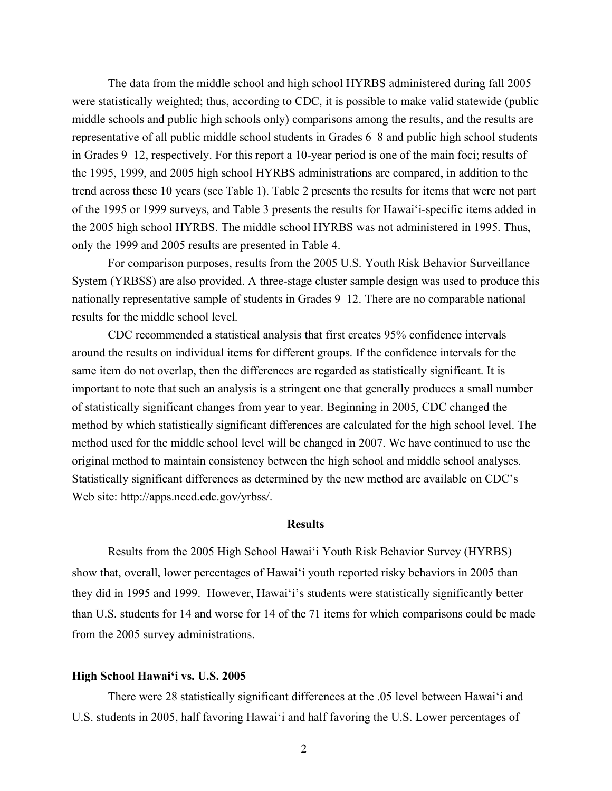The data from the middle school and high school HYRBS administered during fall 2005 were statistically weighted; thus, according to CDC, it is possible to make valid statewide (public middle schools and public high schools only) comparisons among the results, and the results are representative of all public middle school students in Grades 6–8 and public high school students in Grades 9–12, respectively. For this report a 10-year period is one of the main foci; results of the 1995, 1999, and 2005 high school HYRBS administrations are compared, in addition to the trend across these 10 years (see Table 1). Table 2 presents the results for items that were not part of the 1995 or 1999 surveys, and Table 3 presents the results for Hawai'i-specific items added in the 2005 high school HYRBS. The middle school HYRBS was not administered in 1995. Thus, only the 1999 and 2005 results are presented in Table 4.

For comparison purposes, results from the 2005 U.S. Youth Risk Behavior Surveillance System (YRBSS) are also provided. A three-stage cluster sample design was used to produce this nationally representative sample of students in Grades 9–12. There are no comparable national results for the middle school level.

CDC recommended a statistical analysis that first creates 95% confidence intervals around the results on individual items for different groups. If the confidence intervals for the same item do not overlap, then the differences are regarded as statistically significant. It is important to note that such an analysis is a stringent one that generally produces a small number of statistically significant changes from year to year. Beginning in 2005, CDC changed the method by which statistically significant differences are calculated for the high school level. The method used for the middle school level will be changed in 2007. We have continued to use the original method to maintain consistency between the high school and middle school analyses. Statistically significant differences as determined by the new method are available on CDC's Web site: http://apps.nccd.cdc.gov/yrbss/.

# **Results**

Results from the 2005 High School Hawai'i Youth Risk Behavior Survey (HYRBS) show that, overall, lower percentages of Hawai'i youth reported risky behaviors in 2005 than they did in 1995 and 1999. However, Hawai'i's students were statistically significantly better than U.S. students for 14 and worse for 14 of the 71 items for which comparisons could be made from the 2005 survey administrations.

## **High School Hawai'i vs. U.S. 2005**

There were 28 statistically significant differences at the .05 level between Hawai'i and U.S. students in 2005, half favoring Hawai'i and half favoring the U.S. Lower percentages of

2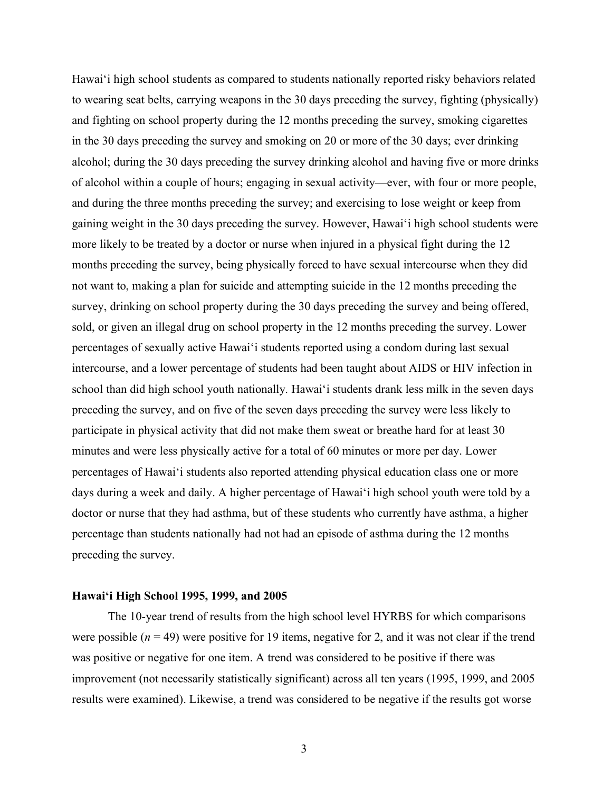Hawai'i high school students as compared to students nationally reported risky behaviors related to wearing seat belts, carrying weapons in the 30 days preceding the survey, fighting (physically) and fighting on school property during the 12 months preceding the survey, smoking cigarettes in the 30 days preceding the survey and smoking on 20 or more of the 30 days; ever drinking alcohol; during the 30 days preceding the survey drinking alcohol and having five or more drinks of alcohol within a couple of hours; engaging in sexual activity—ever, with four or more people, and during the three months preceding the survey; and exercising to lose weight or keep from gaining weight in the 30 days preceding the survey. However, Hawai'i high school students were more likely to be treated by a doctor or nurse when injured in a physical fight during the 12 months preceding the survey, being physically forced to have sexual intercourse when they did not want to, making a plan for suicide and attempting suicide in the 12 months preceding the survey, drinking on school property during the 30 days preceding the survey and being offered, sold, or given an illegal drug on school property in the 12 months preceding the survey. Lower percentages of sexually active Hawai'i students reported using a condom during last sexual intercourse, and a lower percentage of students had been taught about AIDS or HIV infection in school than did high school youth nationally. Hawai'i students drank less milk in the seven days preceding the survey, and on five of the seven days preceding the survey were less likely to participate in physical activity that did not make them sweat or breathe hard for at least 30 minutes and were less physically active for a total of 60 minutes or more per day. Lower percentages of Hawai'i students also reported attending physical education class one or more days during a week and daily. A higher percentage of Hawai'i high school youth were told by a doctor or nurse that they had asthma, but of these students who currently have asthma, a higher percentage than students nationally had not had an episode of asthma during the 12 months preceding the survey.

#### **Hawai'i High School 1995, 1999, and 2005**

The 10-year trend of results from the high school level HYRBS for which comparisons were possible  $(n = 49)$  were positive for 19 items, negative for 2, and it was not clear if the trend was positive or negative for one item. A trend was considered to be positive if there was improvement (not necessarily statistically significant) across all ten years (1995, 1999, and 2005 results were examined). Likewise, a trend was considered to be negative if the results got worse

3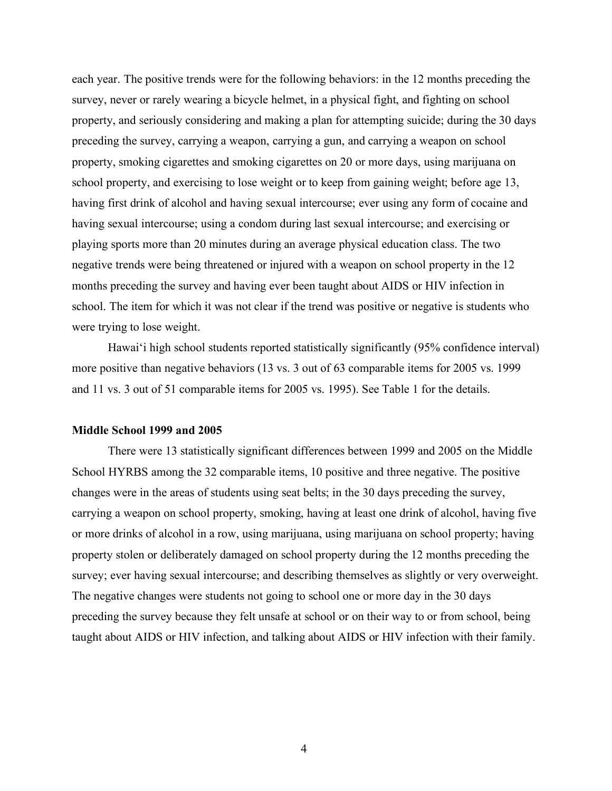each year. The positive trends were for the following behaviors: in the 12 months preceding the survey, never or rarely wearing a bicycle helmet, in a physical fight, and fighting on school property, and seriously considering and making a plan for attempting suicide; during the 30 days preceding the survey, carrying a weapon, carrying a gun, and carrying a weapon on school property, smoking cigarettes and smoking cigarettes on 20 or more days, using marijuana on school property, and exercising to lose weight or to keep from gaining weight; before age 13, having first drink of alcohol and having sexual intercourse; ever using any form of cocaine and having sexual intercourse; using a condom during last sexual intercourse; and exercising or playing sports more than 20 minutes during an average physical education class. The two negative trends were being threatened or injured with a weapon on school property in the 12 months preceding the survey and having ever been taught about AIDS or HIV infection in school. The item for which it was not clear if the trend was positive or negative is students who were trying to lose weight.

Hawai'i high school students reported statistically significantly (95% confidence interval) more positive than negative behaviors (13 vs. 3 out of 63 comparable items for 2005 vs. 1999 and 11 vs. 3 out of 51 comparable items for 2005 vs. 1995). See Table 1 for the details.

## **Middle School 1999 and 2005**

There were 13 statistically significant differences between 1999 and 2005 on the Middle School HYRBS among the 32 comparable items, 10 positive and three negative. The positive changes were in the areas of students using seat belts; in the 30 days preceding the survey, carrying a weapon on school property, smoking, having at least one drink of alcohol, having five or more drinks of alcohol in a row, using marijuana, using marijuana on school property; having property stolen or deliberately damaged on school property during the 12 months preceding the survey; ever having sexual intercourse; and describing themselves as slightly or very overweight. The negative changes were students not going to school one or more day in the 30 days preceding the survey because they felt unsafe at school or on their way to or from school, being taught about AIDS or HIV infection, and talking about AIDS or HIV infection with their family.

4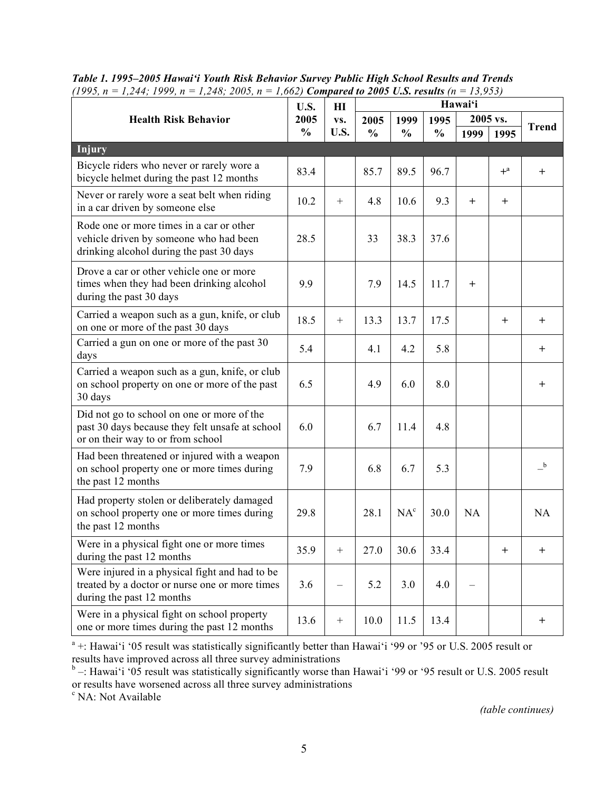| (1995, n = 1,244; 1999, n = 1,248; 2005, n = 1,002) <b>Comparea to 2005 U.S. results</b> (n = 15,955)                              | U.S.          | H1   | Hawai'i       |                 |               |        |                                  |                |
|------------------------------------------------------------------------------------------------------------------------------------|---------------|------|---------------|-----------------|---------------|--------|----------------------------------|----------------|
| <b>Health Risk Behavior</b>                                                                                                        | 2005          | VS.  | 2005          | 1999            | 1995          |        | 2005 vs.                         |                |
|                                                                                                                                    | $\frac{0}{0}$ | U.S. | $\frac{0}{0}$ | $\frac{0}{0}$   | $\frac{0}{0}$ | 1999   | 1995                             | <b>Trend</b>   |
| <b>Injury</b>                                                                                                                      |               |      |               |                 |               |        |                                  |                |
| Bicycle riders who never or rarely wore a<br>bicycle helmet during the past 12 months                                              | 83.4          |      | 85.7          | 89.5            | 96.7          |        | $+^a$                            | $^{+}$         |
| Never or rarely wore a seat belt when riding<br>in a car driven by someone else                                                    | 10.2          | $+$  | 4.8           | 10.6            | 9.3           | $^{+}$ | $\pm$                            |                |
| Rode one or more times in a car or other<br>vehicle driven by someone who had been<br>drinking alcohol during the past 30 days     | 28.5          |      | 33            | 38.3            | 37.6          |        |                                  |                |
| Drove a car or other vehicle one or more<br>times when they had been drinking alcohol<br>during the past 30 days                   | 9.9           |      | 7.9           | 14.5            | 11.7          | $^{+}$ |                                  |                |
| Carried a weapon such as a gun, knife, or club<br>on one or more of the past 30 days                                               | 18.5          |      | 13.3          | 13.7            | 17.5          |        | $\mathrm{+}$                     | $\mathrm{+}$   |
| Carried a gun on one or more of the past 30<br>days                                                                                | 5.4           |      | 4.1           | 4.2             | 5.8           |        |                                  | $\pm$          |
| Carried a weapon such as a gun, knife, or club<br>on school property on one or more of the past<br>30 days                         | 6.5           |      | 4.9           | 6.0             | 8.0           |        |                                  | $\overline{+}$ |
| Did not go to school on one or more of the<br>past 30 days because they felt unsafe at school<br>or on their way to or from school | 6.0           |      | 6.7           | 11.4            | 4.8           |        |                                  |                |
| Had been threatened or injured with a weapon<br>on school property one or more times during<br>the past 12 months                  | 7.9           |      | 6.8           | 6.7             | 5.3           |        |                                  | $-{}^{\rm b}$  |
| Had property stolen or deliberately damaged<br>on school property one or more times during<br>the past 12 months                   | 29.8          |      | 28.1          | NA <sup>c</sup> | 30.0          | NA     |                                  | NA             |
| Were in a physical fight one or more times<br>during the past 12 months                                                            | 35.9          |      | 27.0          | 30.6            | 33.4          |        | $\begin{array}{c} + \end{array}$ | $\ddot{}$      |
| Were injured in a physical fight and had to be<br>treated by a doctor or nurse one or more times<br>during the past 12 months      | 3.6           |      | 5.2           | 3.0             | 4.0           |        |                                  |                |
| Were in a physical fight on school property<br>one or more times during the past 12 months                                         | 13.6          |      | 10.0          | 11.5            | 13.4          |        |                                  | $^+$           |

*Table 1. 1995–2005 Hawai'i Youth Risk Behavior Survey Public High School Results and Trends*  $\frac{1005 \text{ m} - 1344 \cdot 1000 \text{ m} - 1348 \cdot 2005 \text{ m} - 1662}{2005 \text{ m} - 1344 \cdot 1000 \text{ m} - 1363}$ 

<sup>a</sup> +: Hawai'i '05 result was statistically significantly better than Hawai'i '99 or '95 or U.S. 2005 result or results have improved across all three survey administrations

 $b$  –: Hawai'i '05 result was statistically significantly worse than Hawai'i '99 or '95 result or U.S. 2005 result or results have worsened across all three survey administrations  $\lq$  NA: Not Available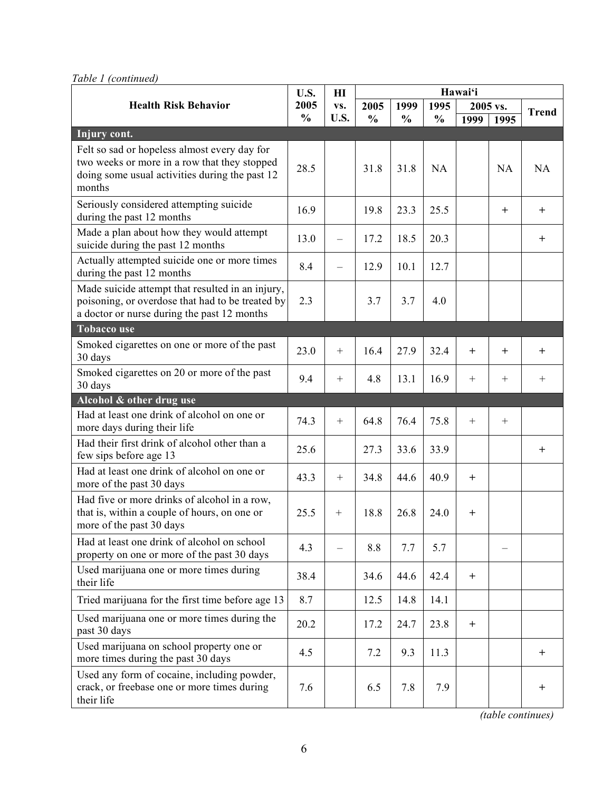| Table 1 (continued) |
|---------------------|
|                     |

|                                                                                                                                                     | U.S.          | H I                      |               | Hawai'i       |               |              |           |              |
|-----------------------------------------------------------------------------------------------------------------------------------------------------|---------------|--------------------------|---------------|---------------|---------------|--------------|-----------|--------------|
| <b>Health Risk Behavior</b>                                                                                                                         | 2005          | VS.                      | 2005          | 1999          | 1995          |              | 2005 vs.  | <b>Trend</b> |
|                                                                                                                                                     | $\frac{0}{0}$ | U.S.                     | $\frac{0}{0}$ | $\frac{0}{0}$ | $\frac{0}{0}$ | 1999         | 1995      |              |
| Injury cont.                                                                                                                                        |               |                          |               |               |               |              |           |              |
| Felt so sad or hopeless almost every day for<br>two weeks or more in a row that they stopped<br>doing some usual activities during the past 12      | 28.5          |                          | 31.8          | 31.8          | NA            |              | <b>NA</b> | <b>NA</b>    |
| months                                                                                                                                              |               |                          |               |               |               |              |           |              |
| Seriously considered attempting suicide<br>during the past 12 months                                                                                | 16.9          |                          | 19.8          | 23.3          | 25.5          |              | $^{+}$    | $^+$         |
| Made a plan about how they would attempt<br>suicide during the past 12 months                                                                       | 13.0          | $\overline{\phantom{0}}$ | 17.2          | 18.5          | 20.3          |              |           | $+$          |
| Actually attempted suicide one or more times<br>during the past 12 months                                                                           | 8.4           | $\overline{\phantom{0}}$ | 12.9          | 10.1          | 12.7          |              |           |              |
| Made suicide attempt that resulted in an injury,<br>poisoning, or overdose that had to be treated by<br>a doctor or nurse during the past 12 months | 2.3           |                          | 3.7           | 3.7           | 4.0           |              |           |              |
| <b>Tobacco use</b>                                                                                                                                  |               |                          |               |               |               |              |           |              |
| Smoked cigarettes on one or more of the past<br>30 days                                                                                             | 23.0          | $+$                      | 16.4          | 27.9          | 32.4          | $^{+}$       | $^{+}$    | $+$          |
| Smoked cigarettes on 20 or more of the past<br>30 days                                                                                              | 9.4           | $^{+}$                   | 4.8           | 13.1          | 16.9          | $^{+}$       | $+$       | $\! + \!$    |
| Alcohol & other drug use                                                                                                                            |               |                          |               |               |               |              |           |              |
| Had at least one drink of alcohol on one or<br>more days during their life                                                                          | 74.3          | $+$                      | 64.8          | 76.4          | 75.8          | $+$          | $+$       |              |
| Had their first drink of alcohol other than a<br>few sips before age 13                                                                             | 25.6          |                          | 27.3          | 33.6          | 33.9          |              |           | $\ddot{}$    |
| Had at least one drink of alcohol on one or<br>more of the past 30 days                                                                             | 43.3          | $+$                      | 34.8          | 44.6          | 40.9          | $+$          |           |              |
| Had five or more drinks of alcohol in a row,<br>that is, within a couple of hours, on one or<br>more of the past 30 days                            | 25.5          | $+$                      | 18.8          | 26.8          | 24.0          | $\mathrm{+}$ |           |              |
| Had at least one drink of alcohol on school<br>property on one or more of the past 30 days                                                          | 4.3           |                          | 8.8           | 7.7           | 5.7           |              |           |              |
| Used marijuana one or more times during<br>their life                                                                                               | 38.4          |                          | 34.6          | 44.6          | 42.4          | $^{+}$       |           |              |
| Tried marijuana for the first time before age 13                                                                                                    | 8.7           |                          | 12.5          | 14.8          | 14.1          |              |           |              |
| Used marijuana one or more times during the<br>past 30 days                                                                                         | 20.2          |                          | 17.2          | 24.7          | 23.8          | $\pm$        |           |              |
| Used marijuana on school property one or<br>more times during the past 30 days                                                                      | 4.5           |                          | 7.2           | 9.3           | 11.3          |              |           | $^+$         |
| Used any form of cocaine, including powder,<br>crack, or freebase one or more times during<br>their life                                            | 7.6           |                          | 6.5           | 7.8           | 7.9           |              |           | $\pm$        |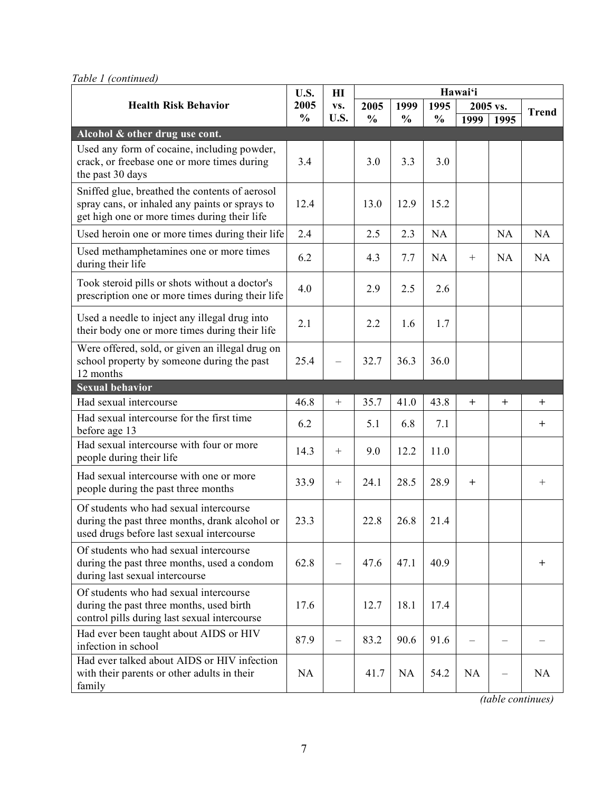*Table 1 (continued)*

|                                                                                                                                                  | U.S.          | $\mathbf{H}$     |               | Hawai'i       |               |          |           |              |
|--------------------------------------------------------------------------------------------------------------------------------------------------|---------------|------------------|---------------|---------------|---------------|----------|-----------|--------------|
| <b>Health Risk Behavior</b>                                                                                                                      | 2005          | VS.              | 2005          | 1999          | 1995          | 2005 vs. |           | <b>Trend</b> |
|                                                                                                                                                  | $\frac{0}{0}$ | U.S.             | $\frac{0}{0}$ | $\frac{0}{0}$ | $\frac{0}{0}$ | 1999     | 1995      |              |
| Alcohol & other drug use cont.                                                                                                                   |               |                  |               |               |               |          |           |              |
| Used any form of cocaine, including powder,<br>crack, or freebase one or more times during<br>the past 30 days                                   | 3.4           |                  | 3.0           | 3.3           | 3.0           |          |           |              |
| Sniffed glue, breathed the contents of aerosol<br>spray cans, or inhaled any paints or sprays to<br>get high one or more times during their life | 12.4          |                  | 13.0          | 12.9          | 15.2          |          |           |              |
| Used heroin one or more times during their life                                                                                                  | 2.4           |                  | 2.5           | 2.3           | NA            |          | NA        | NA           |
| Used methamphetamines one or more times<br>during their life                                                                                     | 6.2           |                  | 4.3           | 7.7           | <b>NA</b>     | $^{+}$   | <b>NA</b> | NA           |
| Took steroid pills or shots without a doctor's<br>prescription one or more times during their life                                               | 4.0           |                  | 2.9           | 2.5           | 2.6           |          |           |              |
| Used a needle to inject any illegal drug into<br>their body one or more times during their life                                                  | 2.1           |                  | 2.2           | 1.6           | 1.7           |          |           |              |
| Were offered, sold, or given an illegal drug on<br>school property by someone during the past<br>12 months                                       | 25.4          |                  | 32.7          | 36.3          | 36.0          |          |           |              |
| <b>Sexual behavior</b>                                                                                                                           |               |                  |               |               |               |          |           |              |
| Had sexual intercourse                                                                                                                           | 46.8          | $\boldsymbol{+}$ | 35.7          | 41.0          | 43.8          | $^{+}$   | $^{+}$    | $+$          |
| Had sexual intercourse for the first time<br>before age 13                                                                                       | 6.2           |                  | 5.1           | 6.8           | 7.1           |          |           | $\mathrm{+}$ |
| Had sexual intercourse with four or more<br>people during their life                                                                             | 14.3          | $^{+}$           | 9.0           | 12.2          | 11.0          |          |           |              |
| Had sexual intercourse with one or more<br>people during the past three months                                                                   | 33.9          | $^{+}$           | 24.1          | 28.5          | 28.9          | $^{+}$   |           | $+$          |
| Of students who had sexual intercourse<br>during the past three months, drank alcohol or<br>used drugs before last sexual intercourse            | 23.3          |                  | 22.8          | 26.8          | 21.4          |          |           |              |
| Of students who had sexual intercourse<br>during the past three months, used a condom<br>during last sexual intercourse                          | 62.8          | -                | 47.6          | 47.1          | 40.9          |          |           | $\ddot{}$    |
| Of students who had sexual intercourse<br>during the past three months, used birth<br>control pills during last sexual intercourse               | 17.6          |                  | 12.7          | 18.1          | 17.4          |          |           |              |
| Had ever been taught about AIDS or HIV<br>infection in school                                                                                    | 87.9          |                  | 83.2          | 90.6          | 91.6          |          |           |              |
| Had ever talked about AIDS or HIV infection<br>with their parents or other adults in their<br>family                                             | NA            |                  | 41.7          | <b>NA</b>     | 54.2          | NA       | —         | NA           |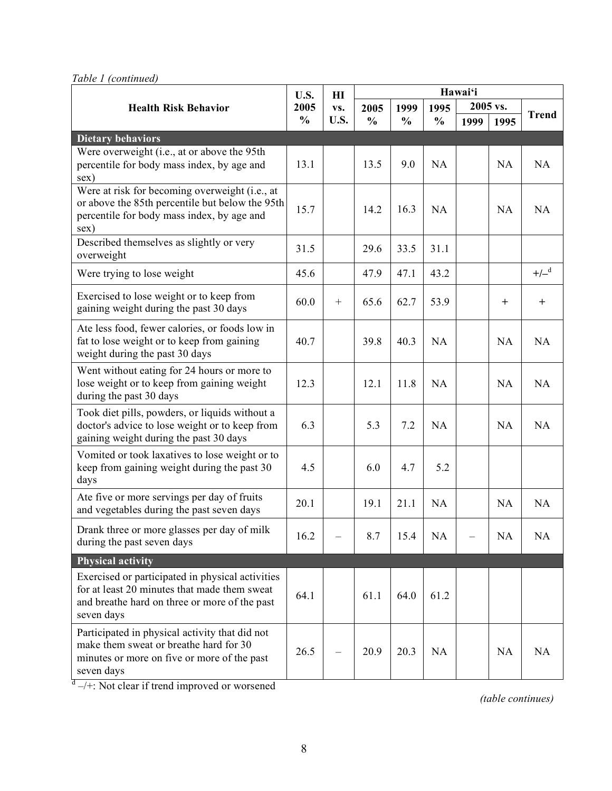*Table 1 (continued)*

|                                                                                                                                                                 | U.S.          | H I              | Hawai'i       |                  |               |      |              |        |
|-----------------------------------------------------------------------------------------------------------------------------------------------------------------|---------------|------------------|---------------|------------------|---------------|------|--------------|--------|
| <b>Health Risk Behavior</b>                                                                                                                                     | 2005<br>VS.   | 2005             | 1999          | 2005 vs.<br>1995 |               |      | <b>Trend</b> |        |
|                                                                                                                                                                 | $\frac{0}{0}$ | U.S.             | $\frac{0}{0}$ | $\frac{0}{0}$    | $\frac{0}{0}$ | 1999 | 1995         |        |
| <b>Dietary behaviors</b>                                                                                                                                        |               |                  |               |                  |               |      |              |        |
| Were overweight (i.e., at or above the 95th                                                                                                                     | 13.1          |                  | 13.5          | 9.0              | NA            |      | NA           | NA     |
| percentile for body mass index, by age and<br>sex)                                                                                                              |               |                  |               |                  |               |      |              |        |
| Were at risk for becoming overweight (i.e., at<br>or above the 85th percentile but below the 95th<br>percentile for body mass index, by age and<br>sex)         | 15.7          |                  | 14.2          | 16.3             | NA            |      | NA           | NA     |
| Described themselves as slightly or very<br>overweight                                                                                                          | 31.5          |                  | 29.6          | 33.5             | 31.1          |      |              |        |
| Were trying to lose weight                                                                                                                                      | 45.6          |                  | 47.9          | 47.1             | 43.2          |      |              | $+/-d$ |
| Exercised to lose weight or to keep from<br>gaining weight during the past 30 days                                                                              | 60.0          | $\boldsymbol{+}$ | 65.6          | 62.7             | 53.9          |      | $\pm$        | $\pm$  |
| Ate less food, fewer calories, or foods low in<br>fat to lose weight or to keep from gaining<br>weight during the past 30 days                                  | 40.7          |                  | 39.8          | 40.3             | NA            |      | NA           | NA     |
| Went without eating for 24 hours or more to<br>lose weight or to keep from gaining weight<br>during the past 30 days                                            | 12.3          |                  | 12.1          | 11.8             | <b>NA</b>     |      | NA           | NA     |
| Took diet pills, powders, or liquids without a<br>doctor's advice to lose weight or to keep from<br>gaining weight during the past 30 days                      | 6.3           |                  | 5.3           | 7.2              | NA            |      | NA           | NA     |
| Vomited or took laxatives to lose weight or to<br>keep from gaining weight during the past 30<br>days                                                           | 4.5           |                  | 6.0           | 4.7              | 5.2           |      |              |        |
| Ate five or more servings per day of fruits<br>and vegetables during the past seven days                                                                        | 20.1          |                  | 19.1          | 21.1             | NA            |      | NA           | NA     |
| Drank three or more glasses per day of milk<br>during the past seven days                                                                                       | 16.2          |                  | 8.7           | 15.4             | NA            |      | NA           | NA     |
| <b>Physical activity</b>                                                                                                                                        |               |                  |               |                  |               |      |              |        |
| Exercised or participated in physical activities<br>for at least 20 minutes that made them sweat<br>and breathe hard on three or more of the past<br>seven days | 64.1          |                  | 61.1          | 64.0             | 61.2          |      |              |        |
| Participated in physical activity that did not<br>make them sweat or breathe hard for 30<br>minutes or more on five or more of the past<br>seven days           | 26.5          |                  | 20.9          | 20.3             | <b>NA</b>     |      | NA           | NA     |

 $d \rightarrow +$ : Not clear if trend improved or worsened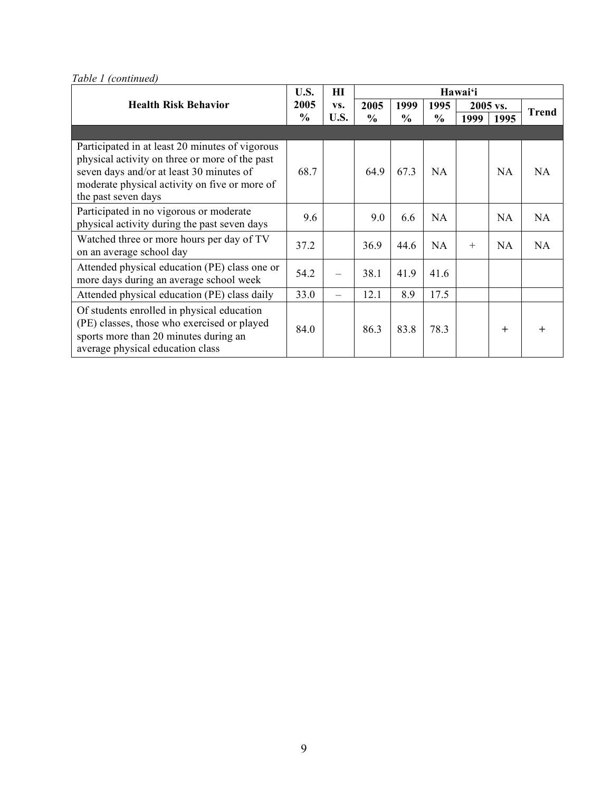**Hawai'i Health Risk Behavior 2005 vs. 2005 1999 2005 vs. U.S. 2005 % HI vs. U.S. 2005 % 1999 % 1995 % <sup>1999</sup> <sup>1995</sup> Trend** Participated in at least 20 minutes of vigorous physical activity on three or more of the past seven days and/or at least 30 minutes of moderate physical activity on five or more of the past seven days 68.7 | 64.9 | 67.3 | NA | NA | NA Participated in no vigorous or moderate physical activity during the past seven days 9.6 | 9.0 | 6.6 | NA | NA | NA Watched three or more hours per day of TV on an average school day 37.2 | | 36.9 | 44.6 | NA | + | NA | NA Attended physical education (PE) class one or Attended physical education (PE) class one of  $\begin{bmatrix} 54.2 \\ - \end{bmatrix}$  -  $\begin{bmatrix} 38.1 \\ 41.9 \\ 41.6 \end{bmatrix}$  41.6 Attended physical education (PE) class daily  $\begin{array}{|c|c|c|c|c|c|c|c|c|} \hline 33.0 & - & 12.1 & 8.9 & 17.5 \ \hline \end{array}$ Of students enrolled in physical education (PE) classes, those who exercised or played sports more than 20 minutes during an average physical education class 84.0 **\** 86.3 \ 83.8 \ 78.3 \ \ \ + \ \ +

*Table 1 (continued)*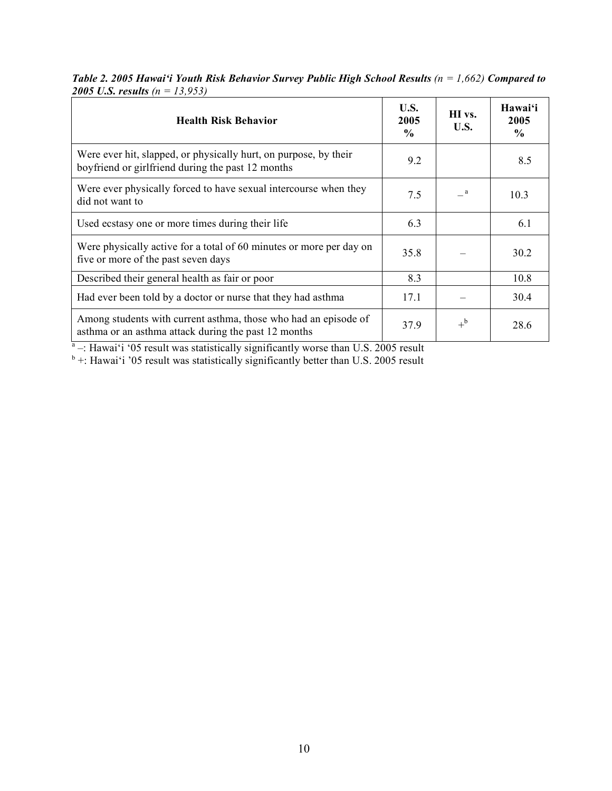*Table 2. 2005 Hawai'i Youth Risk Behavior Survey Public High School Results (n = 1,662) Compared to 2005 U.S. results (n = 13,953)*

| <b>Health Risk Behavior</b>                                                                                             | U.S.<br>2005<br>$\frac{0}{0}$ | HI vs.<br>U.S. | Hawai'i<br>2005<br>$\frac{0}{0}$ |
|-------------------------------------------------------------------------------------------------------------------------|-------------------------------|----------------|----------------------------------|
| Were ever hit, slapped, or physically hurt, on purpose, by their<br>boyfriend or girlfriend during the past 12 months   | 9.2                           |                | 8.5                              |
| Were ever physically forced to have sexual intercourse when they<br>did not want to                                     | 7.5                           | a a            | 10.3                             |
| Used ecstasy one or more times during their life                                                                        | 6.3                           |                | 6.1                              |
| Were physically active for a total of 60 minutes or more per day on<br>five or more of the past seven days              | 35.8                          |                | 30.2                             |
| Described their general health as fair or poor                                                                          | 8.3                           |                | 10.8                             |
| Had ever been told by a doctor or nurse that they had asthma                                                            | 17.1                          |                | 30.4                             |
| Among students with current asthma, those who had an episode of<br>asthma or an asthma attack during the past 12 months | 37.9                          | $+^{\rm b}$    | 28.6                             |

 $a<sup>a</sup>$  –: Hawai'i '05 result was statistically significantly worse than U.S. 2005 result

 $b +$ : Hawai'i '05 result was statistically significantly better than U.S. 2005 result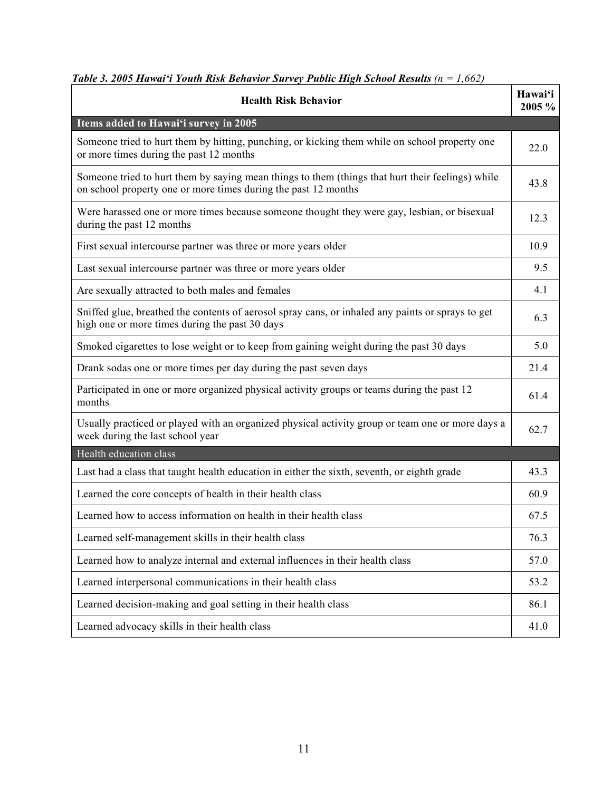| <b>Health Risk Behavior</b>                                                                                                                                        | Hawai'i<br>2005 % |
|--------------------------------------------------------------------------------------------------------------------------------------------------------------------|-------------------|
| Items added to Hawai'i survey in 2005                                                                                                                              |                   |
| Someone tried to hurt them by hitting, punching, or kicking them while on school property one<br>or more times during the past 12 months                           | 22.0              |
| Someone tried to hurt them by saying mean things to them (things that hurt their feelings) while<br>on school property one or more times during the past 12 months | 43.8              |
| Were harassed one or more times because someone thought they were gay, lesbian, or bisexual<br>during the past 12 months                                           | 12.3              |
| First sexual intercourse partner was three or more years older                                                                                                     | 10.9              |
| Last sexual intercourse partner was three or more years older                                                                                                      | 9.5               |
| Are sexually attracted to both males and females                                                                                                                   | 4.1               |

Sniffed glue, breathed the contents of aerosol spray cans, or inhaled any paints or sprays to get

**Hawai'i**

6.3

# *Table 3. 2005 Hawai'i Youth Risk Behavior Survey Public High School Results (n = 1,662)*

| Participated in one or more organized physical activity groups or teams during the past 12<br>months                                 | 61.4 |
|--------------------------------------------------------------------------------------------------------------------------------------|------|
| Usually practiced or played with an organized physical activity group or team one or more days a<br>week during the last school year | 62.7 |
| Health education class                                                                                                               |      |
| Last had a class that taught health education in either the sixth, seventh, or eighth grade                                          | 43.3 |
| Learned the core concepts of health in their health class                                                                            | 60.9 |
| Learned how to access information on health in their health class                                                                    | 67.5 |
| Learned self-management skills in their health class                                                                                 | 76.3 |

Learned how to analyze internal and external influences in their health class 57.0 57.0

Learned interpersonal communications in their health class 53.2

Learned decision-making and goal setting in their health class 86.1

Smoked cigarettes to lose weight or to keep from gaining weight during the past 30 days 5.0

Drank sodas one or more times per day during the past seven days 21.4

Learned advocacy skills in their health class 41.0

high one or more times during the past 30 days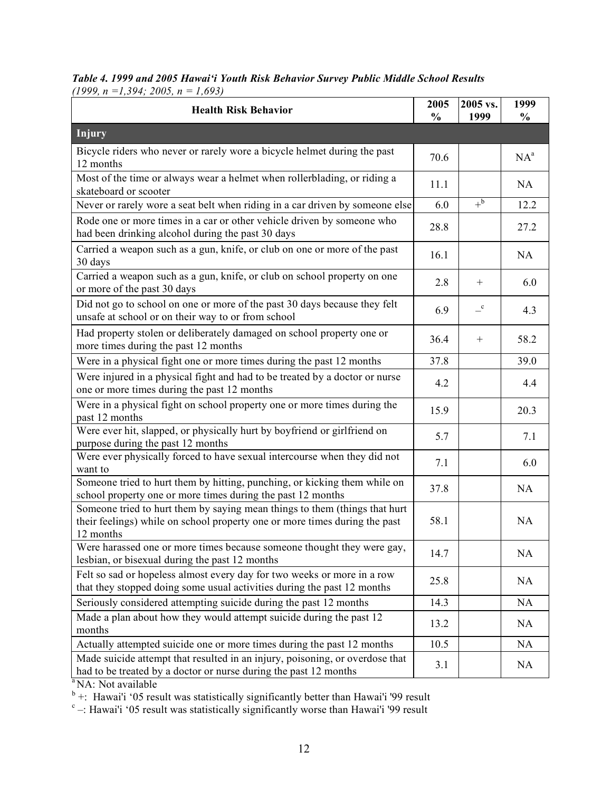*Table 4. 1999 and 2005 Hawai'i Youth Risk Behavior Survey Public Middle School Results (1999, n =1,394; 2005, n = 1,693)*

| <b>Health Risk Behavior</b>                                                                                                                                           | 2005<br>$\frac{0}{0}$ | 2005 vs.<br>1999        | 1999<br>$\frac{0}{0}$ |
|-----------------------------------------------------------------------------------------------------------------------------------------------------------------------|-----------------------|-------------------------|-----------------------|
| <b>Injury</b>                                                                                                                                                         |                       |                         |                       |
| Bicycle riders who never or rarely wore a bicycle helmet during the past<br>12 months                                                                                 | 70.6                  |                         | $NA^a$                |
| Most of the time or always wear a helmet when rollerblading, or riding a<br>skateboard or scooter                                                                     | 11.1                  |                         | NA.                   |
| Never or rarely wore a seat belt when riding in a car driven by someone else                                                                                          | 6.0                   | $+^b$                   | 12.2                  |
| Rode one or more times in a car or other vehicle driven by someone who<br>had been drinking alcohol during the past 30 days                                           | 28.8                  |                         | 27.2                  |
| Carried a weapon such as a gun, knife, or club on one or more of the past<br>30 days                                                                                  | 16.1                  |                         | NA                    |
| Carried a weapon such as a gun, knife, or club on school property on one<br>or more of the past 30 days                                                               | 2.8                   | $^{+}$                  | 6.0                   |
| Did not go to school on one or more of the past 30 days because they felt<br>unsafe at school or on their way to or from school                                       | 6.9                   | $\mathbf{-}^\mathrm{c}$ | 4.3                   |
| Had property stolen or deliberately damaged on school property one or<br>more times during the past 12 months                                                         | 36.4                  | $^{+}$                  | 58.2                  |
| Were in a physical fight one or more times during the past 12 months                                                                                                  | 37.8                  |                         | 39.0                  |
| Were injured in a physical fight and had to be treated by a doctor or nurse<br>one or more times during the past 12 months                                            | 4.2                   |                         | 4.4                   |
| Were in a physical fight on school property one or more times during the<br>past 12 months                                                                            | 15.9                  |                         | 20.3                  |
| Were ever hit, slapped, or physically hurt by boyfriend or girlfriend on<br>purpose during the past 12 months                                                         | 5.7                   |                         | 7.1                   |
| Were ever physically forced to have sexual intercourse when they did not<br>want to                                                                                   | 7.1                   |                         | 6.0                   |
| Someone tried to hurt them by hitting, punching, or kicking them while on<br>school property one or more times during the past 12 months                              | 37.8                  |                         | NA                    |
| Someone tried to hurt them by saying mean things to them (things that hurt<br>their feelings) while on school property one or more times during the past<br>12 months | 58.1                  |                         | NA                    |
| Were harassed one or more times because someone thought they were gay,<br>lesbian, or bisexual during the past 12 months                                              | 14.7                  |                         | NA                    |
| Felt so sad or hopeless almost every day for two weeks or more in a row<br>that they stopped doing some usual activities during the past 12 months                    | 25.8                  |                         | NA                    |
| Seriously considered attempting suicide during the past 12 months                                                                                                     | 14.3                  |                         | NA                    |
| Made a plan about how they would attempt suicide during the past 12<br>months                                                                                         | 13.2                  |                         | NA                    |
| Actually attempted suicide one or more times during the past 12 months                                                                                                | 10.5                  |                         | NA                    |
| Made suicide attempt that resulted in an injury, poisoning, or overdose that<br>had to be treated by a doctor or nurse during the past 12 months<br>NA: Not available | 3.1                   |                         | NA                    |

<sup>b</sup> +: Hawai'i '05 result was statistically significantly better than Hawai'i '99 result  $c -$ : Hawai'i '05 result was statistically significantly worse than Hawai'i '99 result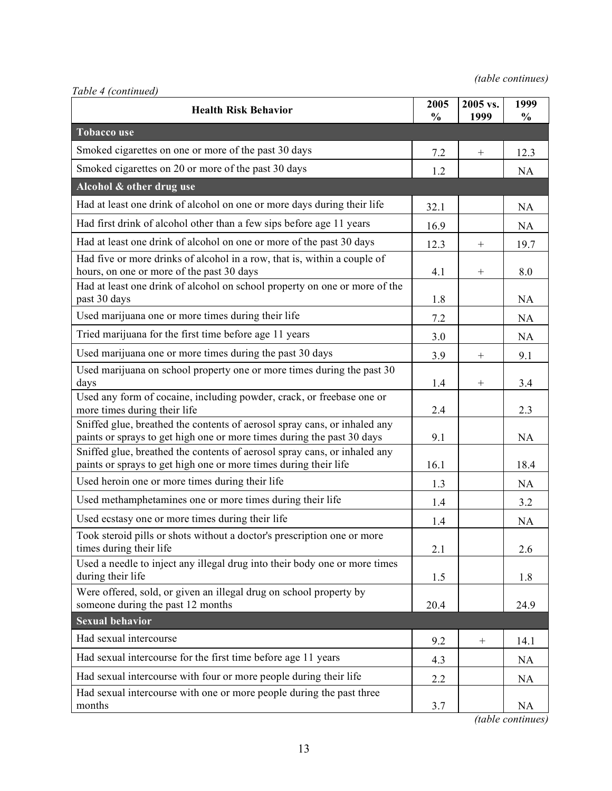| Table 4 (continued)                                                                                                                                 |                       |                  |                       |
|-----------------------------------------------------------------------------------------------------------------------------------------------------|-----------------------|------------------|-----------------------|
| <b>Health Risk Behavior</b>                                                                                                                         | 2005<br>$\frac{0}{0}$ | 2005 vs.<br>1999 | 1999<br>$\frac{0}{0}$ |
| <b>Tobacco use</b>                                                                                                                                  |                       |                  |                       |
| Smoked cigarettes on one or more of the past 30 days                                                                                                | 7.2                   | $\boldsymbol{+}$ | 12.3                  |
| Smoked cigarettes on 20 or more of the past 30 days                                                                                                 | 1.2                   |                  | NA                    |
| Alcohol & other drug use                                                                                                                            |                       |                  |                       |
| Had at least one drink of alcohol on one or more days during their life                                                                             | 32.1                  |                  | NA                    |
| Had first drink of alcohol other than a few sips before age 11 years                                                                                | 16.9                  |                  | NA                    |
| Had at least one drink of alcohol on one or more of the past 30 days                                                                                | 12.3                  | $^{+}$           | 19.7                  |
| Had five or more drinks of alcohol in a row, that is, within a couple of<br>hours, on one or more of the past 30 days                               | 4.1                   | $^{+}$           | 8.0                   |
| Had at least one drink of alcohol on school property on one or more of the<br>past 30 days                                                          | 1.8                   |                  | NA                    |
| Used marijuana one or more times during their life                                                                                                  | 7.2                   |                  | NA                    |
| Tried marijuana for the first time before age 11 years                                                                                              | 3.0                   |                  | NA                    |
| Used marijuana one or more times during the past 30 days                                                                                            | 3.9                   |                  | 9.1                   |
| Used marijuana on school property one or more times during the past 30<br>days                                                                      | 1.4                   | $^{+}$           | 3.4                   |
| Used any form of cocaine, including powder, crack, or freebase one or<br>more times during their life                                               | 2.4                   |                  | 2.3                   |
| Sniffed glue, breathed the contents of aerosol spray cans, or inhaled any<br>paints or sprays to get high one or more times during the past 30 days | 9.1                   |                  | NA                    |
| Sniffed glue, breathed the contents of aerosol spray cans, or inhaled any<br>paints or sprays to get high one or more times during their life       | 16.1                  |                  | 18.4                  |
| Used heroin one or more times during their life                                                                                                     | 1.3                   |                  | NA                    |
| Used methamphetamines one or more times during their life                                                                                           | 1.4                   |                  | 3.2                   |
| Used ecstasy one or more times during their life                                                                                                    | 1.4                   |                  | NA                    |
| Took steroid pills or shots without a doctor's prescription one or more<br>times during their life                                                  | 2.1                   |                  | 2.6                   |
| Used a needle to inject any illegal drug into their body one or more times<br>during their life                                                     | 1.5                   |                  | 1.8                   |
| Were offered, sold, or given an illegal drug on school property by<br>someone during the past 12 months                                             | 20.4                  |                  | 24.9                  |
| <b>Sexual behavior</b>                                                                                                                              |                       |                  |                       |
| Had sexual intercourse                                                                                                                              | 9.2                   |                  | 14.1                  |
| Had sexual intercourse for the first time before age 11 years                                                                                       | 4.3                   |                  | NA                    |
| Had sexual intercourse with four or more people during their life                                                                                   | 2.2                   |                  | NA                    |
| Had sexual intercourse with one or more people during the past three<br>months                                                                      | 3.7                   |                  | NA                    |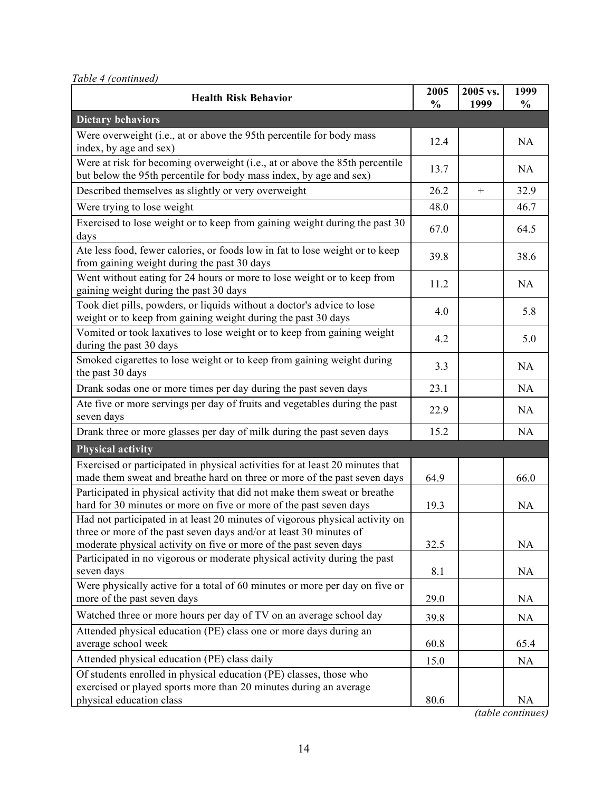*Table 4 (continued)*

| <b>Health Risk Behavior</b>                                                                                                                        | 2005<br>$\frac{0}{0}$ | 2005 vs.<br>1999 | 1999<br>$\frac{0}{0}$ |
|----------------------------------------------------------------------------------------------------------------------------------------------------|-----------------------|------------------|-----------------------|
| <b>Dietary behaviors</b>                                                                                                                           |                       |                  |                       |
| Were overweight (i.e., at or above the 95th percentile for body mass<br>index, by age and sex)                                                     | 12.4                  |                  | NA                    |
| Were at risk for becoming overweight (i.e., at or above the 85th percentile<br>but below the 95th percentile for body mass index, by age and sex)  | 13.7                  |                  | NA                    |
| Described themselves as slightly or very overweight                                                                                                | 26.2                  |                  | 32.9                  |
| Were trying to lose weight                                                                                                                         | 48.0                  |                  | 46.7                  |
| Exercised to lose weight or to keep from gaining weight during the past 30<br>days                                                                 | 67.0                  |                  | 64.5                  |
| Ate less food, fewer calories, or foods low in fat to lose weight or to keep<br>from gaining weight during the past 30 days                        | 39.8                  |                  | 38.6                  |
| Went without eating for 24 hours or more to lose weight or to keep from<br>gaining weight during the past 30 days                                  | 11.2                  |                  | NA                    |
| Took diet pills, powders, or liquids without a doctor's advice to lose<br>weight or to keep from gaining weight during the past 30 days            | 4.0                   |                  | 5.8                   |
| Vomited or took laxatives to lose weight or to keep from gaining weight<br>during the past 30 days                                                 | 4.2                   |                  | 5.0                   |
| Smoked cigarettes to lose weight or to keep from gaining weight during<br>the past 30 days                                                         | 3.3                   |                  | NA                    |
| Drank sodas one or more times per day during the past seven days                                                                                   | 23.1                  |                  | NA                    |
| Ate five or more servings per day of fruits and vegetables during the past<br>seven days                                                           | 22.9                  |                  | NA                    |
| Drank three or more glasses per day of milk during the past seven days                                                                             | 15.2                  |                  | NA                    |
| <b>Physical activity</b>                                                                                                                           |                       |                  |                       |
| Exercised or participated in physical activities for at least 20 minutes that                                                                      |                       |                  |                       |
| made them sweat and breathe hard on three or more of the past seven days                                                                           | 64.9                  |                  | 66.0                  |
| Participated in physical activity that did not make them sweat or breathe                                                                          |                       |                  |                       |
| hard for 30 minutes or more on five or more of the past seven days                                                                                 | 19.3                  |                  | <b>NA</b>             |
| Had not participated in at least 20 minutes of vigorous physical activity on<br>three or more of the past seven days and/or at least 30 minutes of |                       |                  |                       |
| moderate physical activity on five or more of the past seven days                                                                                  | 32.5                  |                  | NA                    |
| Participated in no vigorous or moderate physical activity during the past                                                                          |                       |                  |                       |
| seven days                                                                                                                                         | 8.1                   |                  | NA                    |
| Were physically active for a total of 60 minutes or more per day on five or                                                                        |                       |                  |                       |
| more of the past seven days                                                                                                                        | 29.0                  |                  | NA                    |
| Watched three or more hours per day of TV on an average school day                                                                                 | 39.8                  |                  | NA                    |
| Attended physical education (PE) class one or more days during an                                                                                  |                       |                  |                       |
| average school week                                                                                                                                | 60.8                  |                  | 65.4                  |
| Attended physical education (PE) class daily                                                                                                       | 15.0                  |                  | NA                    |
| Of students enrolled in physical education (PE) classes, those who<br>exercised or played sports more than 20 minutes during an average            |                       |                  |                       |
| physical education class                                                                                                                           | 80.6                  |                  | <b>NA</b>             |